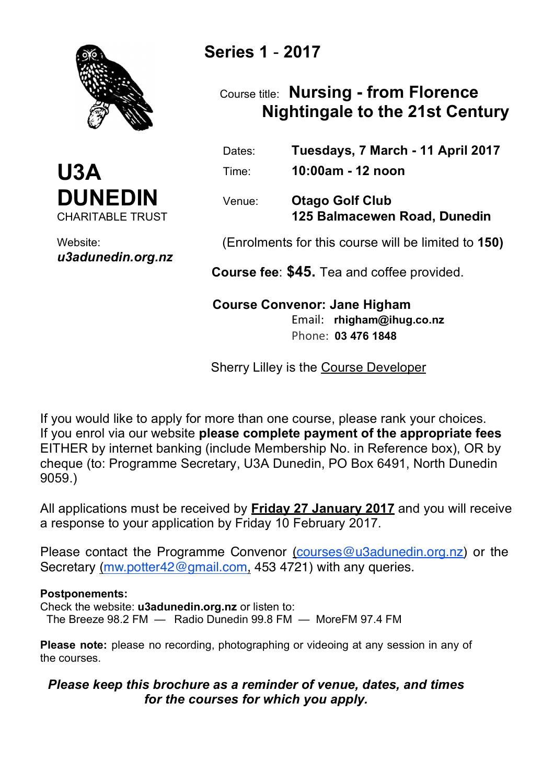



Website: *u3adunedin.org.nz*

# **Series 1** - **2017**

## Course title: **Nursing - from Florence Nightingale to the 21st Century**

 Dates: **Tuesdays, 7 March - 11 April 2017** Time: **10:00am - 12 noon** 

 Venue: **Otago Golf Club 125 Balmacewen Road, Dunedin**

(Enrolments for this course will be limited to **150)**

 **Course fee**: **\$45.** Tea and coffee provided.

 Phone: **03 476 1848**

## **Course Convenor: Jane Higham** Email: **rhigham@ihug.co.nz**

Sherry Lilley is the Course Developer

If you would like to apply for more than one course, please rank your choices. If you enrol via our website **please complete payment of the appropriate fees** EITHER by internet banking (include Membership No. in Reference box), OR by cheque (to: Programme Secretary, U3A Dunedin, PO Box 6491, North Dunedin 9059.)

All applications must be received by **Friday 27 January 2017** and you will receive a response to your application by Friday 10 February 2017.

Please contact the Programme Convenor (courses@u3adunedin.org.nz) or the Secretary (mw.potter42@gmail.com, 453 4721) with any queries.

### **Postponements:**

Check the website: **u3adunedin.org.nz** or listen to: The Breeze 98.2 FM — Radio Dunedin 99.8 FM — MoreFM 97.4 FM

**Please note:** please no recording, photographing or videoing at any session in any of the courses.

### *Please keep this brochure as a reminder of venue, dates, and times for the courses for which you apply.*